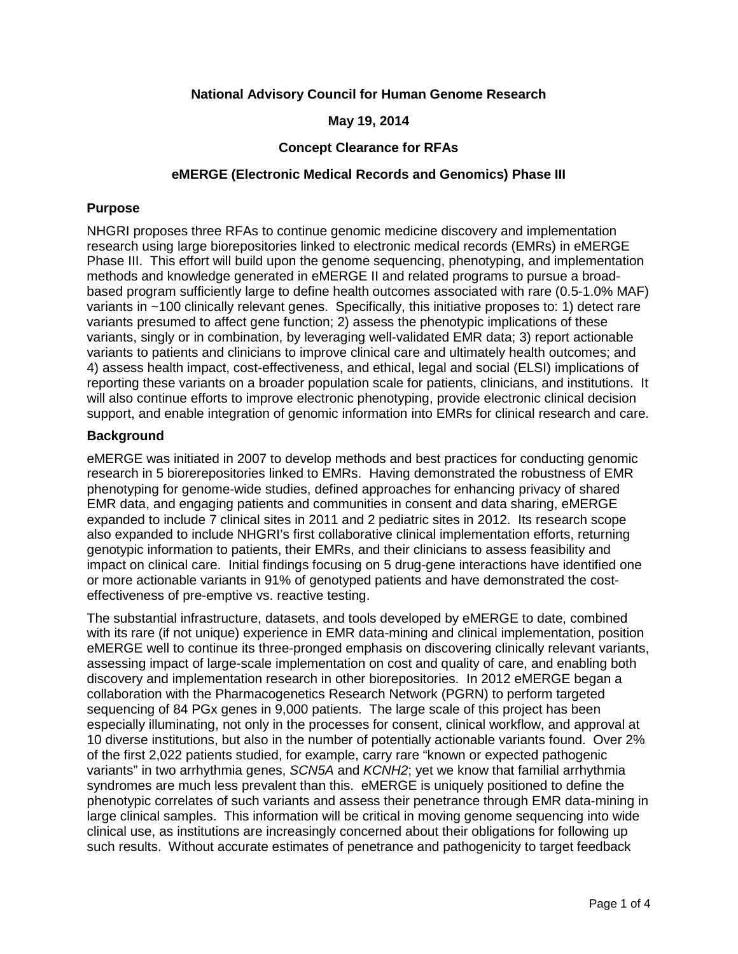# **National Advisory Council for Human Genome Research**

### **May 19, 2014**

### **Concept Clearance for RFAs**

### **eMERGE (Electronic Medical Records and Genomics) Phase III**

### **Purpose**

NHGRI proposes three RFAs to continue genomic medicine discovery and implementation research using large biorepositories linked to electronic medical records (EMRs) in eMERGE Phase III. This effort will build upon the genome sequencing, phenotyping, and implementation methods and knowledge generated in eMERGE II and related programs to pursue a broadbased program sufficiently large to define health outcomes associated with rare (0.5-1.0% MAF) variants in ~100 clinically relevant genes. Specifically, this initiative proposes to: 1) detect rare variants presumed to affect gene function; 2) assess the phenotypic implications of these variants, singly or in combination, by leveraging well-validated EMR data; 3) report actionable variants to patients and clinicians to improve clinical care and ultimately health outcomes; and 4) assess health impact, cost-effectiveness, and ethical, legal and social (ELSI) implications of reporting these variants on a broader population scale for patients, clinicians, and institutions. It will also continue efforts to improve electronic phenotyping, provide electronic clinical decision support, and enable integration of genomic information into EMRs for clinical research and care.

## **Background**

eMERGE was initiated in 2007 to develop methods and best practices for conducting genomic research in 5 biorerepositories linked to EMRs. Having demonstrated the robustness of EMR phenotyping for genome-wide studies, defined approaches for enhancing privacy of shared EMR data, and engaging patients and communities in consent and data sharing, eMERGE expanded to include 7 clinical sites in 2011 and 2 pediatric sites in 2012. Its research scope also expanded to include NHGRI's first collaborative clinical implementation efforts, returning genotypic information to patients, their EMRs, and their clinicians to assess feasibility and impact on clinical care. Initial findings focusing on 5 drug-gene interactions have identified one or more actionable variants in 91% of genotyped patients and have demonstrated the costeffectiveness of pre-emptive vs. reactive testing.

The substantial infrastructure, datasets, and tools developed by eMERGE to date, combined with its rare (if not unique) experience in EMR data-mining and clinical implementation, position eMERGE well to continue its three-pronged emphasis on discovering clinically relevant variants, assessing impact of large-scale implementation on cost and quality of care, and enabling both discovery and implementation research in other biorepositories. In 2012 eMERGE began a collaboration with the Pharmacogenetics Research Network (PGRN) to perform targeted sequencing of 84 PGx genes in 9,000 patients. The large scale of this project has been especially illuminating, not only in the processes for consent, clinical workflow, and approval at 10 diverse institutions, but also in the number of potentially actionable variants found. Over 2% of the first 2,022 patients studied, for example, carry rare "known or expected pathogenic variants" in two arrhythmia genes, *SCN5A* and *KCNH2*; yet we know that familial arrhythmia syndromes are much less prevalent than this. eMERGE is uniquely positioned to define the phenotypic correlates of such variants and assess their penetrance through EMR data-mining in large clinical samples. This information will be critical in moving genome sequencing into wide clinical use, as institutions are increasingly concerned about their obligations for following up such results. Without accurate estimates of penetrance and pathogenicity to target feedback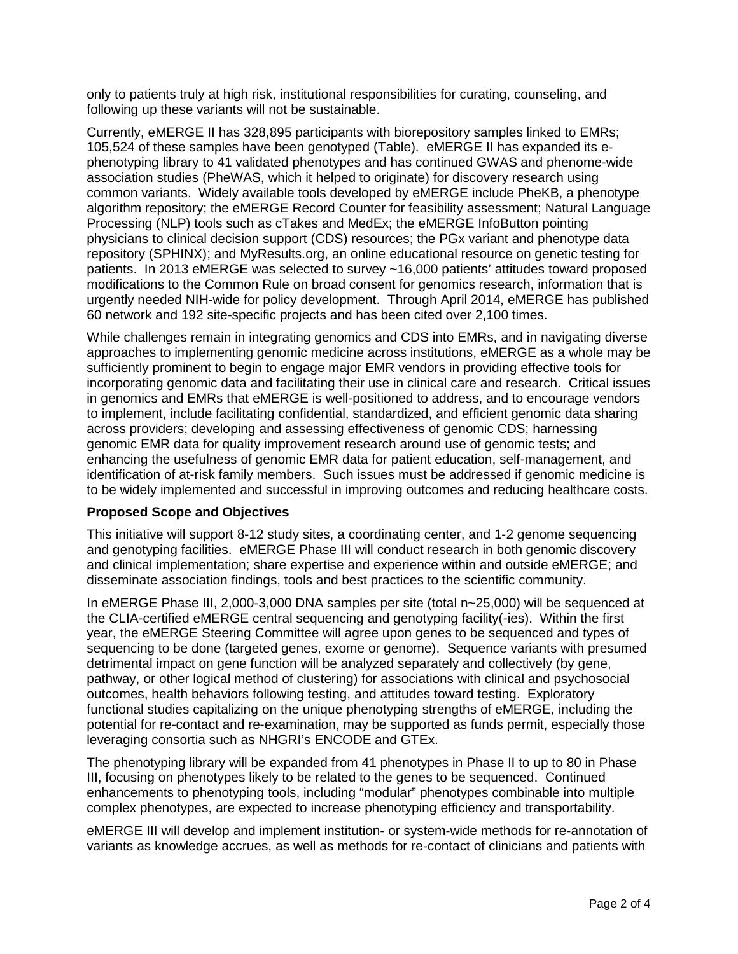only to patients truly at high risk, institutional responsibilities for curating, counseling, and following up these variants will not be sustainable.

Currently, eMERGE II has 328,895 participants with biorepository samples linked to EMRs; 105,524 of these samples have been genotyped (Table). eMERGE II has expanded its ephenotyping library to 41 validated phenotypes and has continued GWAS and phenome-wide association studies (PheWAS, which it helped to originate) for discovery research using common variants. Widely available tools developed by eMERGE include PheKB, a phenotype algorithm repository; the eMERGE Record Counter for feasibility assessment; Natural Language Processing (NLP) tools such as cTakes and MedEx; the eMERGE InfoButton pointing physicians to clinical decision support (CDS) resources; the PGx variant and phenotype data repository (SPHINX); and MyResults.org, an online educational resource on genetic testing for patients. In 2013 eMERGE was selected to survey ~16,000 patients' attitudes toward proposed modifications to the Common Rule on broad consent for genomics research, information that is urgently needed NIH-wide for policy development. Through April 2014, eMERGE has published 60 network and 192 site-specific projects and has been cited over 2,100 times.

While challenges remain in integrating genomics and CDS into EMRs, and in navigating diverse approaches to implementing genomic medicine across institutions, eMERGE as a whole may be sufficiently prominent to begin to engage major EMR vendors in providing effective tools for incorporating genomic data and facilitating their use in clinical care and research. Critical issues in genomics and EMRs that eMERGE is well-positioned to address, and to encourage vendors to implement, include facilitating confidential, standardized, and efficient genomic data sharing across providers; developing and assessing effectiveness of genomic CDS; harnessing genomic EMR data for quality improvement research around use of genomic tests; and enhancing the usefulness of genomic EMR data for patient education, self-management, and identification of at-risk family members. Such issues must be addressed if genomic medicine is to be widely implemented and successful in improving outcomes and reducing healthcare costs.

### **Proposed Scope and Objectives**

This initiative will support 8-12 study sites, a coordinating center, and 1-2 genome sequencing and genotyping facilities. eMERGE Phase III will conduct research in both genomic discovery and clinical implementation; share expertise and experience within and outside eMERGE; and disseminate association findings, tools and best practices to the scientific community.

In eMERGE Phase III, 2,000-3,000 DNA samples per site (total n~25,000) will be sequenced at the CLIA-certified eMERGE central sequencing and genotyping facility(-ies). Within the first year, the eMERGE Steering Committee will agree upon genes to be sequenced and types of sequencing to be done (targeted genes, exome or genome). Sequence variants with presumed detrimental impact on gene function will be analyzed separately and collectively (by gene, pathway, or other logical method of clustering) for associations with clinical and psychosocial outcomes, health behaviors following testing, and attitudes toward testing. Exploratory functional studies capitalizing on the unique phenotyping strengths of eMERGE, including the potential for re-contact and re-examination, may be supported as funds permit, especially those leveraging consortia such as NHGRI's ENCODE and GTEx.

The phenotyping library will be expanded from 41 phenotypes in Phase II to up to 80 in Phase III, focusing on phenotypes likely to be related to the genes to be sequenced. Continued enhancements to phenotyping tools, including "modular" phenotypes combinable into multiple complex phenotypes, are expected to increase phenotyping efficiency and transportability.

eMERGE III will develop and implement institution- or system-wide methods for re-annotation of variants as knowledge accrues, as well as methods for re-contact of clinicians and patients with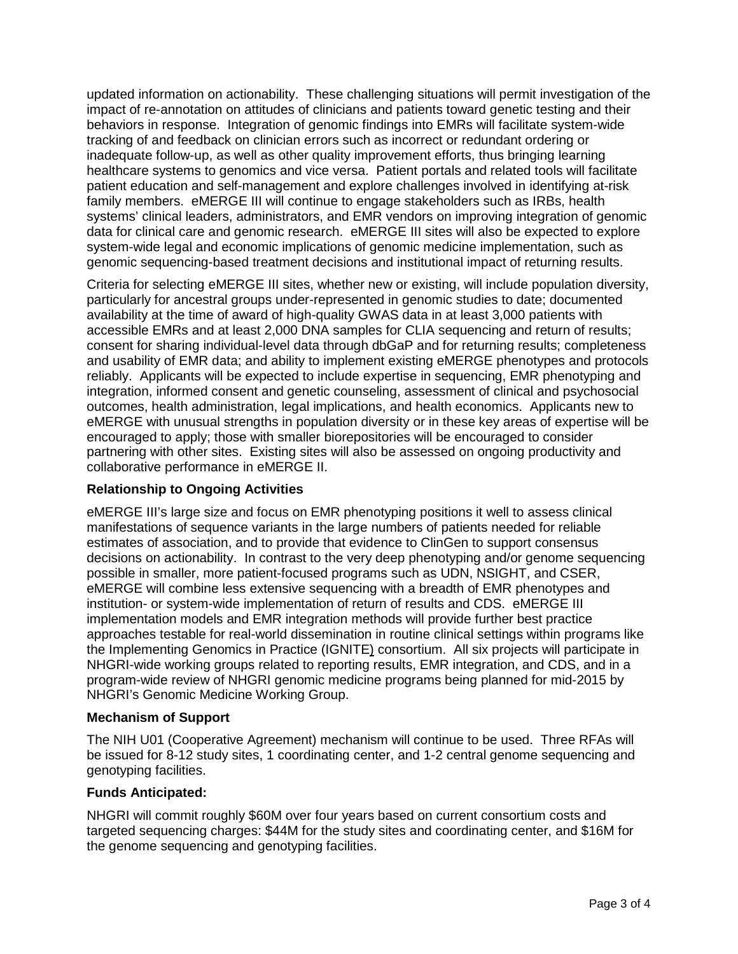updated information on actionability. These challenging situations will permit investigation of the impact of re-annotation on attitudes of clinicians and patients toward genetic testing and their behaviors in response. Integration of genomic findings into EMRs will facilitate system-wide tracking of and feedback on clinician errors such as incorrect or redundant ordering or inadequate follow-up, as well as other quality improvement efforts, thus bringing learning healthcare systems to genomics and vice versa. Patient portals and related tools will facilitate patient education and self-management and explore challenges involved in identifying at-risk family members. eMERGE III will continue to engage stakeholders such as IRBs, health systems' clinical leaders, administrators, and EMR vendors on improving integration of genomic data for clinical care and genomic research. eMERGE III sites will also be expected to explore system-wide legal and economic implications of genomic medicine implementation, such as genomic sequencing-based treatment decisions and institutional impact of returning results.

Criteria for selecting eMERGE III sites, whether new or existing, will include population diversity, particularly for ancestral groups under-represented in genomic studies to date; documented availability at the time of award of high-quality GWAS data in at least 3,000 patients with accessible EMRs and at least 2,000 DNA samples for CLIA sequencing and return of results; consent for sharing individual-level data through dbGaP and for returning results; completeness and usability of EMR data; and ability to implement existing eMERGE phenotypes and protocols reliably. Applicants will be expected to include expertise in sequencing, EMR phenotyping and integration, informed consent and genetic counseling, assessment of clinical and psychosocial outcomes, health administration, legal implications, and health economics. Applicants new to eMERGE with unusual strengths in population diversity or in these key areas of expertise will be encouraged to apply; those with smaller biorepositories will be encouraged to consider partnering with other sites. Existing sites will also be assessed on ongoing productivity and collaborative performance in eMERGE II.

# **Relationship to Ongoing Activities**

eMERGE III's large size and focus on EMR phenotyping positions it well to assess clinical manifestations of sequence variants in the large numbers of patients needed for reliable estimates of association, and to provide that evidence to ClinGen to support consensus decisions on actionability. In contrast to the very deep phenotyping and/or genome sequencing possible in smaller, more patient-focused programs such as UDN, NSIGHT, and CSER, eMERGE will combine less extensive sequencing with a breadth of EMR phenotypes and institution- or system-wide implementation of return of results and CDS. eMERGE III implementation models and EMR integration methods will provide further best practice approaches testable for real-world dissemination in routine clinical settings within programs like the Implementing Genomics in Practice (IGNITE) consortium. All six projects will participate in NHGRI-wide working groups related to reporting results, EMR integration, and CDS, and in a program-wide review of NHGRI genomic medicine programs being planned for mid-2015 by NHGRI's Genomic Medicine Working Group.

# **Mechanism of Support**

The NIH U01 (Cooperative Agreement) mechanism will continue to be used. Three RFAs will be issued for 8-12 study sites, 1 coordinating center, and 1-2 central genome sequencing and genotyping facilities.

# **Funds Anticipated:**

NHGRI will commit roughly \$60M over four years based on current consortium costs and targeted sequencing charges: \$44M for the study sites and coordinating center, and \$16M for the genome sequencing and genotyping facilities.